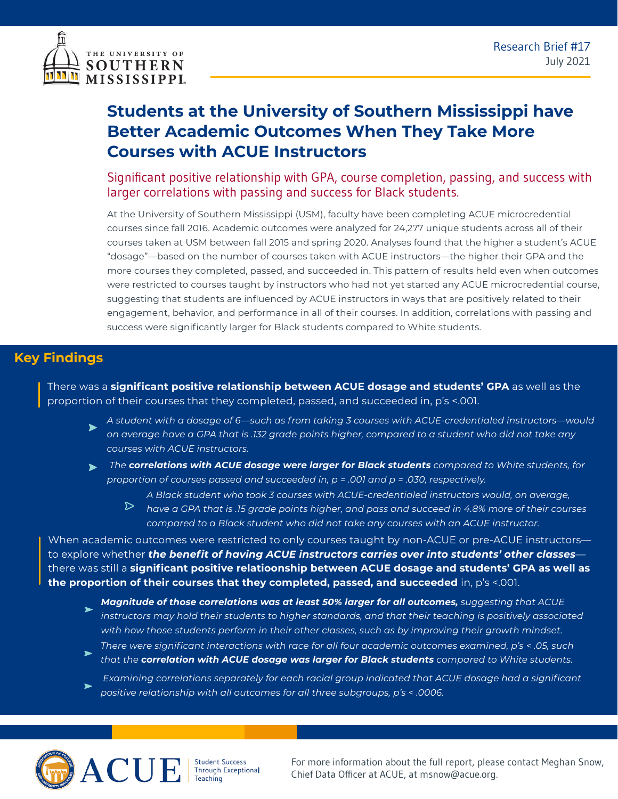



## **Students at the University of Southern Mississippi have Better Academic Outcomes When They Take More Courses with ACUE Instructors**

Significant positive relationship with GPA, course completion, passing, and success with larger correlations with passing and success for Black students.

At the University of Southern Mississippi (USM), faculty have been completing ACUE microcredential courses since fall 2016. Academic outcomes were analyzed for 24,277 unique students across all of their courses taken at USM between fall 2015 and spring 2020. Analyses found that the higher a student's ACUE "dosage"—based on the number of courses taken with ACUE instructors—the higher their GPA and the more courses they completed, passed, and succeeded in. This pattern of results held even when outcomes were restricted to courses taught by instructors who had not yet started any ACUE microcredential course, suggesting that students are influenced by ACUE instructors in ways that are positively related to their engagement, behavior, and performance in all of their courses. In addition, correlations with passing and success were significantly larger for Black students compared to White students.

## **Key Findings**

There was a **significant positive relationship between ACUE dosage and students' GPA** as well as the proportion of their courses that they completed, passed, and succeeded in, p's <.001.

- *A student with a dosage of 6—such as from taking 3 courses with ACUE-credentialed instructors—would on average have a GPA that is .132 grade points higher, compared to a student who did not take any courses with ACUE instructors.*
- *The correlations with ACUE dosage were larger for Black students compared to White students, for proportion of courses passed and succeeded in, p = .001 and p = .030, respectively.*
	- *A Black student who took 3 courses with ACUE-credentialed instructors would, on average,*   $\triangleright$ *have a GPA that is .15 grade points higher, and pass and succeed in 4.8% more of their courses compared to a Black student who did not take any courses with an ACUE instructor.*

When academic outcomes were restricted to only courses taught by non-ACUE or pre-ACUE instructors to explore whether *the benefit of having ACUE instructors carries over into students' other classes* there was still a **significant positive relatioonship between ACUE dosage and students' GPA as well as the proportion of their courses that they completed, passed, and succeeded** in, p's <.001.

- *Magnitude of those correlations was at least 50% larger for all outcomes, suggesting that ACUE instructors may hold their students to higher standards, and that their teaching is positively associated with how those students perform in their other classes, such as by improving their growth mindset. There were significant interactions with race for all four academic outcomes examined, p's < .05, such*
- *that the correlation with ACUE dosage was larger for Black students compared to White students.*

 *Examining correlations separately for each racial group indicated that ACUE dosage had a significant positive relationship with all outcomes for all three subgroups, p's < .0006.*



Student Success<br>Through Exceptional

For more information about the full report, please contact Meghan Snow, Chief Data Officer at ACUE, at msnow@acue.org.